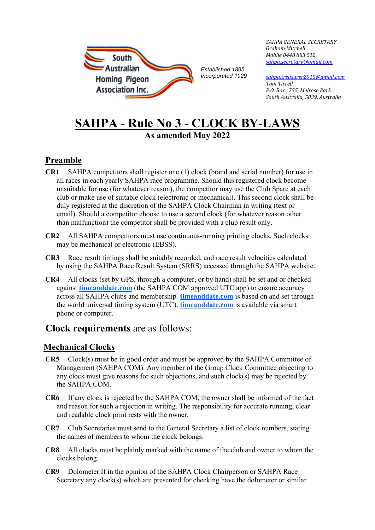

*SAHPA GENERAL SECRETARY Graham Mitchell Mobile 0448 883 512 [sahpa.secretary@gmail.com](mailto:sahpa.secretary@gmail.com)* 

*[sahpa.treasurer2015@gmail.com](mailto:sahpa.treasurer2015@gmail.com) Tom Tirrell P.O. Box 755, Melrose Park. South Australia, 5039, Australia*

# **SAHPA - Rule No 3 - CLOCK BY‐LAWS As amended May 2022**

### **Preamble**

- **CR1** SAHPA competitors shall register one (1) clock (brand and serial number) for use in all races in each yearly SAHPA race programme. Should this registered clock become unsuitable for use (for whatever reason), the competitor may use the Club Spare at each club or make use of suitable clock (electronic or mechanical). This second clock shall be duly registered at the discretion of the SAHPA Clock Chairman in writing (text or email). Should a competitor choose to use a second clock (for whatever reason other than malfunction) the competitor shall be provided with a club result only.
- **CR2** All SAHPA competitors must use continuous‐running printing clocks. Such clocks may be mechanical or electronic (EBSS).
- **CR3** Race result timings shall be suitably recorded, and race result velocities calculated by using the SAHPA Race Result System (SRRS) accessed through the SAHPA website.
- **CR4** All clocks (set by GPS, through a computer, or by hand) shall be set and or checked against **timeanddate.com** (the SAHPA COM approved UTC app) to ensure accuracy across all SAHPA clubs and membership. **timeanddate.com** is based on and set through the world universal timing system (UTC). **timeanddate.com** is available via smart phone or computer.

## **Clock requirements** are as follows:

### **Mechanical Clocks**

- **CR5** Clock(s) must be in good order and must be approved by the SAHPA Committee of Management (SAHPA COM). Any member of the Group Clock Committee objecting to any clock must give reasons for such objections, and such clock(s) may be rejected by the SAHPA COM.
- **CR6** If any clock is rejected by the SAHPA COM, the owner shall be informed of the fact and reason for such a rejection in writing. The responsibility for accurate running, clear and readable clock print rests with the owner.
- **CR7** Club Secretaries must send to the General Secretary a list of clock numbers, stating the names of members to whom the clock belongs.
- **CR8** All clocks must be plainly marked with the name of the club and owner to whom the clocks belong.
- **CR9** Dolometer If in the opinion of the SAHPA Clock Chairperson or SAHPA Race Secretary any clock(s) which are presented for checking have the dolometer or similar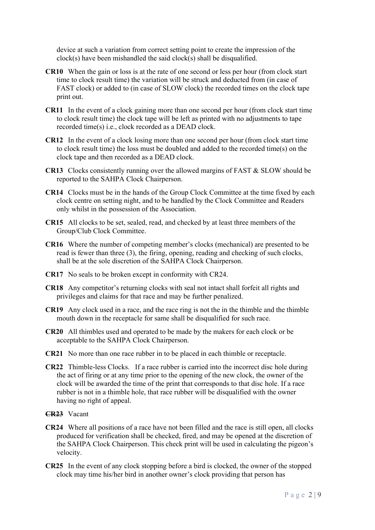device at such a variation from correct setting point to create the impression of the clock(s) have been mishandled the said clock(s) shall be disqualified.

- **CR10** When the gain or loss is at the rate of one second or less per hour (from clock start time to clock result time) the variation will be struck and deducted from (in case of FAST clock) or added to (in case of SLOW clock) the recorded times on the clock tape print out.
- **CR11** In the event of a clock gaining more than one second per hour (from clock start time to clock result time) the clock tape will be left as printed with no adjustments to tape recorded time(s) i.e., clock recorded as a DEAD clock.
- **CR12** In the event of a clock losing more than one second per hour (from clock start time to clock result time) the loss must be doubled and added to the recorded time(s) on the clock tape and then recorded as a DEAD clock.
- **CR13** Clocks consistently running over the allowed margins of FAST & SLOW should be reported to the SAHPA Clock Chairperson.
- **CR14** Clocks must be in the hands of the Group Clock Committee at the time fixed by each clock centre on setting night, and to be handled by the Clock Committee and Readers only whilst in the possession of the Association.
- **CR15** All clocks to be set, sealed, read, and checked by at least three members of the Group/Club Clock Committee.
- **CR16** Where the number of competing member's clocks (mechanical) are presented to be read is fewer than three (3), the firing, opening, reading and checking of such clocks, shall be at the sole discretion of the SAHPA Clock Chairperson.
- **CR17** No seals to be broken except in conformity with CR24.
- **CR18** Any competitor's returning clocks with seal not intact shall forfeit all rights and privileges and claims for that race and may be further penalized.
- **CR19** Any clock used in a race, and the race ring is not the in the thimble and the thimble mouth down in the receptacle for same shall be disqualified for such race.
- **CR20** All thimbles used and operated to be made by the makers for each clock or be acceptable to the SAHPA Clock Chairperson.
- **CR21** No more than one race rubber in to be placed in each thimble or receptacle.
- **CR22** Thimble-less Clocks. If a race rubber is carried into the incorrect disc hole during the act of firing or at any time prior to the opening of the new clock, the owner of the clock will be awarded the time of the print that corresponds to that disc hole. If a race rubber is not in a thimble hole, that race rubber will be disqualified with the owner having no right of appeal.
- **CR23** Vacant
- **CR24** Where all positions of a race have not been filled and the race is still open, all clocks produced for verification shall be checked, fired, and may be opened at the discretion of the SAHPA Clock Chairperson. This check print will be used in calculating the pigeon's velocity.
- **CR25** In the event of any clock stopping before a bird is clocked, the owner of the stopped clock may time his/her bird in another owner's clock providing that person has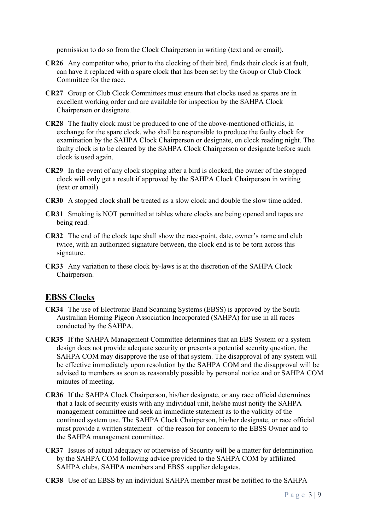permission to do so from the Clock Chairperson in writing (text and or email).

- **CR26** Any competitor who, prior to the clocking of their bird, finds their clock is at fault, can have it replaced with a spare clock that has been set by the Group or Club Clock Committee for the race.
- **CR27** Group or Club Clock Committees must ensure that clocks used as spares are in excellent working order and are available for inspection by the SAHPA Clock Chairperson or designate.
- **CR28** The faulty clock must be produced to one of the above-mentioned officials, in exchange for the spare clock, who shall be responsible to produce the faulty clock for examination by the SAHPA Clock Chairperson or designate, on clock reading night. The faulty clock is to be cleared by the SAHPA Clock Chairperson or designate before such clock is used again.
- **CR29** In the event of any clock stopping after a bird is clocked, the owner of the stopped clock will only get a result if approved by the SAHPA Clock Chairperson in writing (text or email).
- **CR30** A stopped clock shall be treated as a slow clock and double the slow time added.
- **CR31** Smoking is NOT permitted at tables where clocks are being opened and tapes are being read.
- **CR32** The end of the clock tape shall show the race-point, date, owner's name and club twice, with an authorized signature between, the clock end is to be torn across this signature.
- **CR33** Any variation to these clock by‐laws is at the discretion of the SAHPA Clock Chairperson.

#### **EBSS Clocks**

- **CR34** The use of Electronic Band Scanning Systems (EBSS) is approved by the South Australian Homing Pigeon Association Incorporated (SAHPA) for use in all races conducted by the SAHPA.
- **CR35** If the SAHPA Management Committee determines that an EBS System or a system design does not provide adequate security or presents a potential security question, the SAHPA COM may disapprove the use of that system. The disapproval of any system will be effective immediately upon resolution by the SAHPA COM and the disapproval will be advised to members as soon as reasonably possible by personal notice and or SAHPA COM minutes of meeting.
- **CR36** If the SAHPA Clock Chairperson, his/her designate, or any race official determines that a lack of security exists with any individual unit, he/she must notify the SAHPA management committee and seek an immediate statement as to the validity of the continued system use. The SAHPA Clock Chairperson, his/her designate, or race official must provide a written statement of the reason for concern to the EBSS Owner and to the SAHPA management committee.
- **CR37** Issues of actual adequacy or otherwise of Security will be a matter for determination by the SAHPA COM following advice provided to the SAHPA COM by affiliated SAHPA clubs, SAHPA members and EBSS supplier delegates.
- **CR38** Use of an EBSS by an individual SAHPA member must be notified to the SAHPA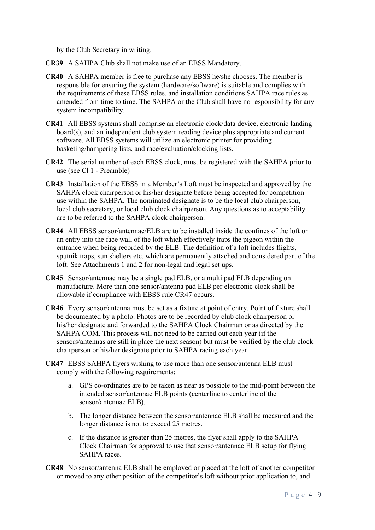by the Club Secretary in writing.

- **CR39** A SAHPA Club shall not make use of an EBSS Mandatory.
- **CR40** A SAHPA member is free to purchase any EBSS he/she chooses. The member is responsible for ensuring the system (hardware/software) is suitable and complies with the requirements of these EBSS rules, and installation conditions SAHPA race rules as amended from time to time. The SAHPA or the Club shall have no responsibility for any system incompatibility.
- **CR41** All EBSS systems shall comprise an electronic clock/data device, electronic landing board(s), and an independent club system reading device plus appropriate and current software. All EBSS systems will utilize an electronic printer for providing basketing/hampering lists, and race/evaluation/clocking lists.
- **CR42** The serial number of each EBSS clock, must be registered with the SAHPA prior to use (see Cl 1 - Preamble)
- **CR43** Installation of the EBSS in a Member's Loft must be inspected and approved by the SAHPA clock chairperson or his/her designate before being accepted for competition use within the SAHPA. The nominated designate is to be the local club chairperson, local club secretary, or local club clock chairperson. Any questions as to acceptability are to be referred to the SAHPA clock chairperson.
- **CR44** All EBSS sensor/antennae/ELB are to be installed inside the confines of the loft or an entry into the face wall of the loft which effectively traps the pigeon within the entrance when being recorded by the ELB. The definition of a loft includes flights, sputnik traps, sun shelters etc. which are permanently attached and considered part of the loft. See Attachments 1 and 2 for non-legal and legal set ups.
- **CR45** Sensor/antennae may be a single pad ELB, or a multi pad ELB depending on manufacture. More than one sensor/antenna pad ELB per electronic clock shall be allowable if compliance with EBSS rule CR47 occurs.
- **CR46** Every sensor/antenna must be set as a fixture at point of entry. Point of fixture shall be documented by a photo. Photos are to be recorded by club clock chairperson or his/her designate and forwarded to the SAHPA Clock Chairman or as directed by the SAHPA COM. This process will not need to be carried out each year (if the sensors/antennas are still in place the next season) but must be verified by the club clock chairperson or his/her designate prior to SAHPA racing each year.
- **CR47** EBSS SAHPA flyers wishing to use more than one sensor/antenna ELB must comply with the following requirements:
	- a. GPS co-ordinates are to be taken as near as possible to the mid-point between the intended sensor/antennae ELB points (centerline to centerline of the sensor/antennae ELB).
	- b. The longer distance between the sensor/antennae ELB shall be measured and the longer distance is not to exceed 25 metres.
	- c. If the distance is greater than 25 metres, the flyer shall apply to the SAHPA Clock Chairman for approval to use that sensor/antennae ELB setup for flying SAHPA races.
- **CR48** No sensor/antenna ELB shall be employed or placed at the loft of another competitor or moved to any other position of the competitor's loft without prior application to, and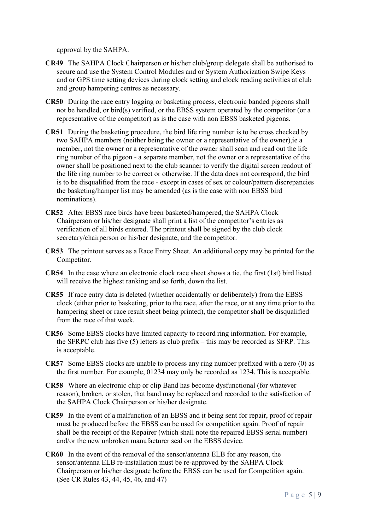approval by the SAHPA.

- **CR49** The SAHPA Clock Chairperson or his/her club/group delegate shall be authorised to secure and use the System Control Modules and or System Authorization Swipe Keys and or GPS time setting devices during clock setting and clock reading activities at club and group hampering centres as necessary.
- **CR50** During the race entry logging or basketing process, electronic banded pigeons shall not be handled, or bird(s) verified, or the EBSS system operated by the competitor (or a representative of the competitor) as is the case with non EBSS basketed pigeons.
- **CR51** During the basketing procedure, the bird life ring number is to be cross checked by two SAHPA members (neither being the owner or a representative of the owner),ie a member, not the owner or a representative of the owner shall scan and read out the life ring number of the pigeon - a separate member, not the owner or a representative of the owner shall be positioned next to the club scanner to verify the digital screen readout of the life ring number to be correct or otherwise. If the data does not correspond, the bird is to be disqualified from the race - except in cases of sex or colour/pattern discrepancies the basketing/hamper list may be amended (as is the case with non EBSS bird nominations).
- **CR52** After EBSS race birds have been basketed/hampered, the SAHPA Clock Chairperson or his/her designate shall print a list of the competitor's entries as verification of all birds entered. The printout shall be signed by the club clock secretary/chairperson or his/her designate, and the competitor.
- **CR53** The printout serves as a Race Entry Sheet. An additional copy may be printed for the Competitor.
- **CR54** In the case where an electronic clock race sheet shows a tie, the first (1st) bird listed will receive the highest ranking and so forth, down the list.
- **CR55** If race entry data is deleted (whether accidentally or deliberately) from the EBSS clock (either prior to basketing, prior to the race, after the race, or at any time prior to the hampering sheet or race result sheet being printed), the competitor shall be disqualified from the race of that week.
- **CR56** Some EBSS clocks have limited capacity to record ring information. For example, the SFRPC club has five (5) letters as club prefix – this may be recorded as SFRP. This is acceptable.
- **CR57** Some EBSS clocks are unable to process any ring number prefixed with a zero (0) as the first number. For example, 01234 may only be recorded as 1234. This is acceptable.
- **CR58** Where an electronic chip or clip Band has become dysfunctional (for whatever reason), broken, or stolen, that band may be replaced and recorded to the satisfaction of the SAHPA Clock Chairperson or his/her designate.
- **CR59** In the event of a malfunction of an EBSS and it being sent for repair, proof of repair must be produced before the EBSS can be used for competition again. Proof of repair shall be the receipt of the Repairer (which shall note the repaired EBSS serial number) and/or the new unbroken manufacturer seal on the EBSS device.
- **CR60** In the event of the removal of the sensor/antenna ELB for any reason, the sensor/antenna ELB re-installation must be re-approved by the SAHPA Clock Chairperson or his/her designate before the EBSS can be used for Competition again. (See CR Rules 43, 44, 45, 46, and 47)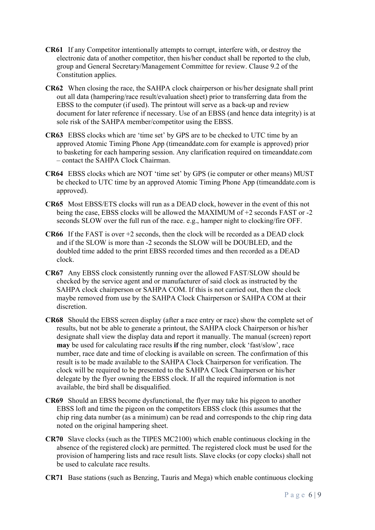- **CR61** If any Competitor intentionally attempts to corrupt, interfere with, or destroy the electronic data of another competitor, then his/her conduct shall be reported to the club, group and General Secretary/Management Committee for review. Clause 9.2 of the Constitution applies.
- **CR62** When closing the race, the SAHPA clock chairperson or his/her designate shall print out all data (hampering/race result/evaluation sheet) prior to transferring data from the EBSS to the computer (if used). The printout will serve as a back-up and review document for later reference if necessary. Use of an EBSS (and hence data integrity) is at sole risk of the SAHPA member/competitor using the EBSS.
- **CR63** EBSS clocks which are 'time set' by GPS are to be checked to UTC time by an approved Atomic Timing Phone App (timeanddate.com for example is approved) prior to basketing for each hampering session. Any clarification required on timeanddate.com – contact the SAHPA Clock Chairman.
- **CR64** EBSS clocks which are NOT 'time set' by GPS (ie computer or other means) MUST be checked to UTC time by an approved Atomic Timing Phone App (timeanddate.com is approved).
- **CR65** Most EBSS/ETS clocks will run as a DEAD clock, however in the event of this not being the case, EBSS clocks will be allowed the MAXIMUM of +2 seconds FAST or -2 seconds SLOW over the full run of the race. e.g., hamper night to clocking/fire OFF.
- **CR66** If the FAST is over +2 seconds, then the clock will be recorded as a DEAD clock and if the SLOW is more than -2 seconds the SLOW will be DOUBLED, and the doubled time added to the print EBSS recorded times and then recorded as a DEAD clock.
- **CR67** Any EBSS clock consistently running over the allowed FAST/SLOW should be checked by the service agent and or manufacturer of said clock as instructed by the SAHPA clock chairperson or SAHPA COM. If this is not carried out, then the clock maybe removed from use by the SAHPA Clock Chairperson or SAHPA COM at their discretion.
- **CR68** Should the EBSS screen display (after a race entry or race) show the complete set of results, but not be able to generate a printout, the SAHPA clock Chairperson or his/her designate shall view the display data and report it manually. The manual (screen) report **may** be used for calculating race results **if** the ring number, clock 'fast/slow', race number, race date and time of clocking is available on screen. The confirmation of this result is to be made available to the SAHPA Clock Chairperson for verification. The clock will be required to be presented to the SAHPA Clock Chairperson or his/her delegate by the flyer owning the EBSS clock. If all the required information is not available, the bird shall be disqualified.
- **CR69** Should an EBSS become dysfunctional, the flyer may take his pigeon to another EBSS loft and time the pigeon on the competitors EBSS clock (this assumes that the chip ring data number (as a minimum) can be read and corresponds to the chip ring data noted on the original hampering sheet.
- **CR70** Slave clocks (such as the TIPES MC2100) which enable continuous clocking in the absence of the registered clock) are permitted. The registered clock must be used for the provision of hampering lists and race result lists. Slave clocks (or copy clocks) shall not be used to calculate race results.
- **CR71** Base stations (such as Benzing, Tauris and Mega) which enable continuous clocking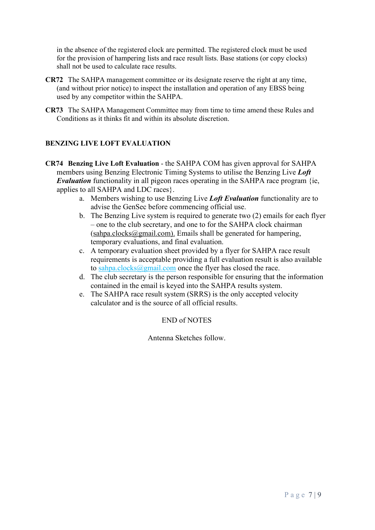in the absence of the registered clock are permitted. The registered clock must be used for the provision of hampering lists and race result lists. Base stations (or copy clocks) shall not be used to calculate race results.

- **CR72** The SAHPA management committee or its designate reserve the right at any time, (and without prior notice) to inspect the installation and operation of any EBSS being used by any competitor within the SAHPA.
- **CR73** The SAHPA Management Committee may from time to time amend these Rules and Conditions as it thinks fit and within its absolute discretion.

#### **BENZING LIVE LOFT EVALUATION**

**CR74 Benzing Live Loft Evaluation** - the SAHPA COM has given approval for SAHPA members using Benzing Electronic Timing Systems to utilise the Benzing Live *Loft Evaluation* functionality in all pigeon races operating in the SAHPA race program {ie, applies to all SAHPA and LDC races}.

- a. Members wishing to use Benzing Live *Loft Evaluation* functionality are to advise the GenSec before commencing official use.
- b. The Benzing Live system is required to generate two (2) emails for each flyer – one to the club secretary, and one to for the SAHPA clock chairman  $(sahpa.closes@gmail.com)$ . Emails shall be generated for hampering, temporary evaluations, and final evaluation.
- c. A temporary evaluation sheet provided by a flyer for SAHPA race result requirements is acceptable providing a full evaluation result is also available to [sahpa.clocks@gmail.com](mailto:sahpa.clocks@gmail.com) once the flyer has closed the race.
- d. The club secretary is the person responsible for ensuring that the information contained in the email is keyed into the SAHPA results system.
- e. The SAHPA race result system (SRRS) is the only accepted velocity calculator and is the source of all official results.

#### END of NOTES

Antenna Sketches follow.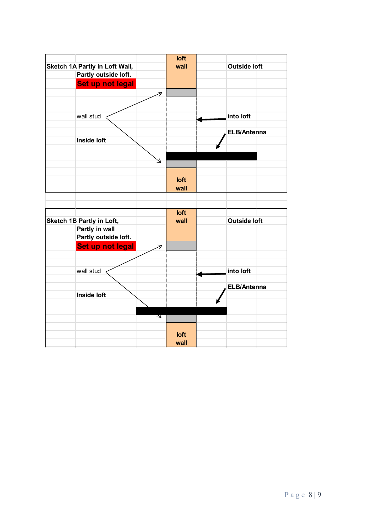|                                |                           |                  |   | loft         |                     |  |
|--------------------------------|---------------------------|------------------|---|--------------|---------------------|--|
| Sketch 1A Partly in Loft Wall, |                           |                  |   | wall         | <b>Outside loft</b> |  |
|                                | Partly outside loft.      |                  |   |              |                     |  |
|                                |                           | Set up not legal |   |              |                     |  |
|                                |                           |                  |   |              |                     |  |
|                                |                           |                  |   |              |                     |  |
|                                |                           |                  |   |              |                     |  |
|                                | wall stud                 |                  |   |              | into loft           |  |
|                                |                           |                  |   |              |                     |  |
|                                | <b>Inside loft</b>        |                  |   |              | ELB/Antenna         |  |
|                                |                           |                  |   |              |                     |  |
|                                |                           |                  |   |              |                     |  |
|                                |                           |                  |   |              |                     |  |
|                                |                           |                  |   |              |                     |  |
|                                |                           |                  |   | loft         |                     |  |
|                                |                           |                  |   | wall         |                     |  |
|                                |                           |                  |   |              |                     |  |
|                                |                           |                  |   |              |                     |  |
|                                |                           |                  |   | loft<br>wall |                     |  |
|                                | Sketch 1B Partly in Loft, |                  |   |              | <b>Outside loft</b> |  |
|                                | Partly in wall            |                  |   |              |                     |  |
|                                | Partly outside loft.      |                  |   |              |                     |  |
|                                |                           | Set up not legal |   |              |                     |  |
|                                |                           |                  |   |              |                     |  |
|                                |                           |                  |   |              |                     |  |
|                                | wall stud                 |                  |   |              | into loft           |  |
|                                |                           |                  |   |              | <b>ELB/Antenna</b>  |  |
|                                | <b>Inside loft</b>        |                  |   |              |                     |  |
|                                |                           |                  |   |              |                     |  |
|                                |                           |                  |   |              |                     |  |
|                                |                           |                  | N |              |                     |  |
|                                |                           |                  |   |              |                     |  |
|                                |                           |                  |   | loft         |                     |  |
|                                |                           |                  |   | wall         |                     |  |